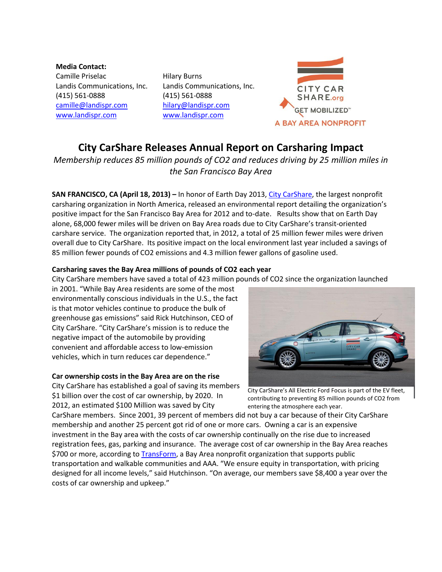**Media Contact:** Camille Priselac Landis Communications, Inc. (415) 561-0888 [camille@landispr.com](mailto:camille@landispr.com) [www.landispr.com](http://www.landispr.com/)

Hilary Burns Landis Communications, Inc. (415) 561-0888 [hilary@landispr.com](mailto:hilary@landispr.com) [www.landispr.com](http://www.landispr.com/)



# **City CarShare Releases Annual Report on Carsharing Impact**

*Membership reduces 85 million pounds of CO2 and reduces driving by 25 million miles in the San Francisco Bay Area*

**SAN FRANCISCO, CA (April 18, 2013) –** In honor of Earth Day 2013, [City CarShare,](http://www.citycarshare.org/) the largest nonprofit carsharing organization in North America, released an environmental report detailing the organization's positive impact for the San Francisco Bay Area for 2012 and to-date. Results show that on Earth Day alone, 68,000 fewer miles will be driven on Bay Area roads due to City CarShare's transit-oriented carshare service. The organization reported that, in 2012, a total of 25 million fewer miles were driven overall due to City CarShare. Its positive impact on the local environment last year included a savings of 85 million fewer pounds of CO2 emissions and 4.3 million fewer gallons of gasoline used.

# **Carsharing saves the Bay Area millions of pounds of CO2 each year**

City CarShare members have saved a total of 423 million pounds of CO2 since the organization launched

in 2001. "While Bay Area residents are some of the most environmentally conscious individuals in the U.S., the fact is that motor vehicles continue to produce the bulk of greenhouse gas emissions" said Rick Hutchinson, CEO of City CarShare. "City CarShare's mission is to reduce the negative impact of the automobile by providing convenient and affordable access to low-emission vehicles, which in turn reduces car dependence."

# **Car ownership costs in the Bay Area are on the rise**

City CarShare has established a goal of saving its members \$1 billion over the cost of car ownership, by 2020. In 2012, an estimated \$100 Million was saved by City



City CarShare's All Electric Ford Focus is part of the EV fleet, contributing to preventing 85 million pounds of CO2 from entering the atmosphere each year.

CarShare members. Since 2001, 39 percent of members did not buy a car because of their City CarShare membership and another 25 percent got rid of one or more cars. Owning a car is an expensive investment in the Bay area with the costs of car ownership continually on the rise due to increased registration fees, gas, parking and insurance. The average cost of car ownership in the Bay Area reaches \$700 or more, according to [TransForm,](http://www.transformca.org/) a Bay Area nonprofit organization that supports public transportation and walkable communities and AAA. "We ensure equity in transportation, with pricing designed for all income levels," said Hutchinson. "On average, our members save \$8,400 a year over the costs of car ownership and upkeep."